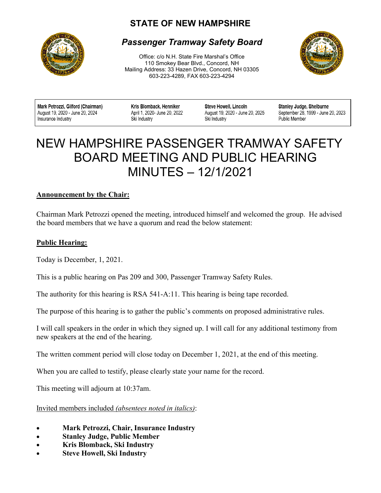# **STATE OF NEW HAMPSHIRE**



# *Passenger Tramway Safety Board*

Office: c/o N.H. State Fire Marshal's Office 110 Smokey Bear Blvd., Concord, NH Mailing Address: 33 Hazen Drive, Concord, NH 03305 603-223-4289, FAX 603-223-4294



Mark Petrozzi, Gilford (Chairman) August 19, 2020 - June 20, 2024 Insurance Industry

Kris Blomback, Henniker April 1, 2020- June 20, 2022 Ski Industry

Steve Howell, Lincoln August 19, 2020 - June 20, 2025 Ski Industry

Stanley Judge, Shelburne September 28, 1999 - June 20, 2023 **Public Member** 

# $\overline{a}$ NEW HAMPSHIRE PASSENGER TRAMWAY SAFETY BOARD MEETING AND PUBLIC HEARING MINUTES – 12/1/2021

#### **Announcement by the Chair:**

Chairman Mark Petrozzi opened the meeting, introduced himself and welcomed the group. He advised the board members that we have a quorum and read the below statement:

#### **Public Hearing:**

Today is December, 1, 2021.

This is a public hearing on Pas 209 and 300, Passenger Tramway Safety Rules.

The authority for this hearing is RSA 541-A:11. This hearing is being tape recorded.

The purpose of this hearing is to gather the public's comments on proposed administrative rules.

I will call speakers in the order in which they signed up. I will call for any additional testimony from new speakers at the end of the hearing.

The written comment period will close today on December 1, 2021, at the end of this meeting.

When you are called to testify, please clearly state your name for the record.

This meeting will adjourn at 10:37am.

Invited members included *(absentees noted in italics)*:

- **Mark Petrozzi, Chair, Insurance Industry**
- **Stanley Judge, Public Member**
- **Kris Blomback, Ski Industry**
- **Steve Howell, Ski Industry**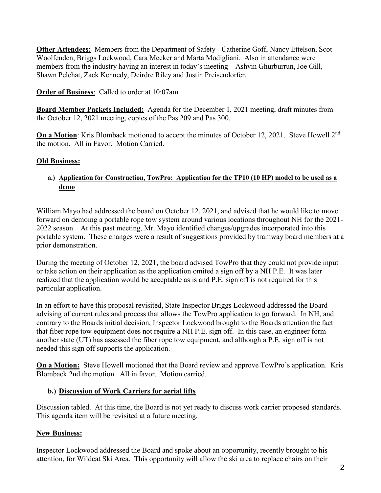**Other Attendees:** Members from the Department of Safety - Catherine Goff, Nancy Ettelson, Scot Woolfenden, Briggs Lockwood, Cara Meeker and Marta Modigliani. Also in attendance were members from the industry having an interest in today's meeting – Ashvin Ghurburrun, Joe Gill, Shawn Pelchat, Zack Kennedy, Deirdre Riley and Justin Preisendorfer.

**Order of Business**: Called to order at 10:07am.

**Board Member Packets Included:** Agenda for the December 1, 2021 meeting, draft minutes from the October 12, 2021 meeting, copies of the Pas 209 and Pas 300.

**On a Motion:** Kris Blomback motioned to accept the minutes of October 12, 2021. Steve Howell 2<sup>nd</sup> the motion. All in Favor. Motion Carried.

### **Old Business:**

#### **a.) Application for Construction, TowPro: Application for the TP10 (10 HP) model to be used as a demo**

William Mayo had addressed the board on October 12, 2021, and advised that he would like to move forward on demoing a portable rope tow system around various locations throughout NH for the 2021- 2022 season. At this past meeting, Mr. Mayo identified changes/upgrades incorporated into this portable system. These changes were a result of suggestions provided by tramway board members at a prior demonstration.

During the meeting of October 12, 2021, the board advised TowPro that they could not provide input or take action on their application as the application omited a sign off by a NH P.E. It was later realized that the application would be acceptable as is and P.E. sign off is not required for this particular application.

In an effort to have this proposal revisited, State Inspector Briggs Lockwood addressed the Board advising of current rules and process that allows the TowPro application to go forward. In NH, and contrary to the Boards initial decision, Inspector Lockwood brought to the Boards attention the fact that fiber rope tow equipment does not require a NH P.E. sign off. In this case, an engineer form another state (UT) has assessed the fiber rope tow equipment, and although a P.E. sign off is not needed this sign off supports the application.

**On a Motion:** Steve Howell motioned that the Board review and approve TowPro's application. Kris Blomback 2nd the motion. All in favor. Motion carried.

#### **b.) Discussion of Work Carriers for aerial lifts**

Discussion tabled. At this time, the Board is not yet ready to discuss work carrier proposed standards. This agenda item will be revisited at a future meeting.

## **New Business:**

Inspector Lockwood addressed the Board and spoke about an opportunity, recently brought to his attention, for Wildcat Ski Area. This opportunity will allow the ski area to replace chairs on their